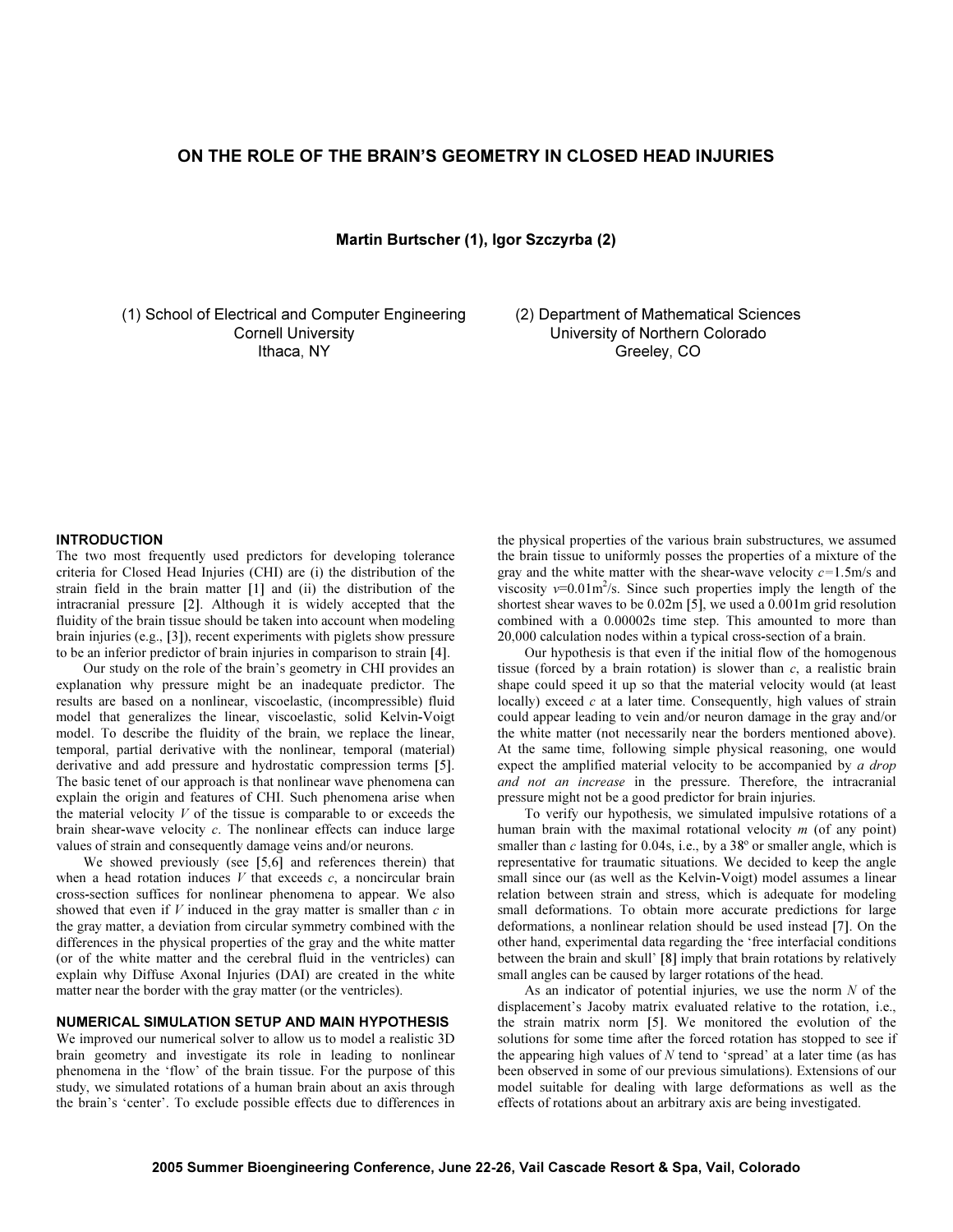# ON THE ROLE OF THE BRAIN'S GEOMETRY IN CLOSED HEAD INJURIES

Martin Burtscher (1), Igor Szczyrba (2)

(1) School of Electrical and Computer Engineering Cornell University Ithaca, NY

(2) Department of Mathematical Sciences University of Northern Colorado Greeley, CO

## INTRODUCTION

The two most frequently used predictors for developing tolerance criteria for Closed Head Injuries (CHI) are (i) the distribution of the strain field in the brain matter [1] and (ii) the distribution of the intracranial pressure [2]. Although it is widely accepted that the fluidity of the brain tissue should be taken into account when modeling brain injuries (e.g., [3]), recent experiments with piglets show pressure to be an inferior predictor of brain injuries in comparison to strain [4].

 Our study on the role of the brain's geometry in CHI provides an explanation why pressure might be an inadequate predictor. The results are based on a nonlinear, viscoelastic, (incompressible) fluid model that generalizes the linear, viscoelastic, solid Kelvin-Voigt model. To describe the fluidity of the brain, we replace the linear, temporal, partial derivative with the nonlinear, temporal (material) derivative and add pressure and hydrostatic compression terms [5]. The basic tenet of our approach is that nonlinear wave phenomena can explain the origin and features of CHI. Such phenomena arise when the material velocity  $V$  of the tissue is comparable to or exceeds the brain shear-wave velocity  $c$ . The nonlinear effects can induce large values of strain and consequently damage veins and/or neurons.

We showed previously (see [5,6] and references therein) that when a head rotation induces  $V$  that exceeds  $c$ , a noncircular brain cross-section suffices for nonlinear phenomena to appear. We also showed that even if  $V$  induced in the gray matter is smaller than  $c$  in the gray matter, a deviation from circular symmetry combined with the differences in the physical properties of the gray and the white matter (or of the white matter and the cerebral fluid in the ventricles) can explain why Diffuse Axonal Injuries (DAI) are created in the white matter near the border with the gray matter (or the ventricles).

## NUMERICAL SIMULATION SETUP AND MAIN HYPOTHESIS

We improved our numerical solver to allow us to model a realistic 3D brain geometry and investigate its role in leading to nonlinear phenomena in the 'flow' of the brain tissue. For the purpose of this study, we simulated rotations of a human brain about an axis through the brain's 'center'. To exclude possible effects due to differences in

the physical properties of the various brain substructures, we assumed the brain tissue to uniformly posses the properties of a mixture of the gray and the white matter with the shear-wave velocity  $c=1.5$ m/s and viscosity  $v=0.01 \text{m}^2/\text{s}$ . Since such properties imply the length of the shortest shear waves to be 0.02m [5], we used a 0.001m grid resolution combined with a 0.00002s time step. This amounted to more than 20,000 calculation nodes within a typical cross-section of a brain.

 Our hypothesis is that even if the initial flow of the homogenous tissue (forced by a brain rotation) is slower than  $c$ , a realistic brain shape could speed it up so that the material velocity would (at least locally) exceed  $c$  at a later time. Consequently, high values of strain could appear leading to vein and/or neuron damage in the gray and/or the white matter (not necessarily near the borders mentioned above). At the same time, following simple physical reasoning, one would expect the amplified material velocity to be accompanied by a drop and not an increase in the pressure. Therefore, the intracranial pressure might not be a good predictor for brain injuries.

 To verify our hypothesis, we simulated impulsive rotations of a human brain with the maximal rotational velocity  $m$  (of any point) smaller than  $c$  lasting for 0.04s, i.e., by a  $38^\circ$  or smaller angle, which is representative for traumatic situations. We decided to keep the angle small since our (as well as the Kelvin-Voigt) model assumes a linear relation between strain and stress, which is adequate for modeling small deformations. To obtain more accurate predictions for large deformations, a nonlinear relation should be used instead [7]. On the other hand, experimental data regarding the 'free interfacial conditions between the brain and skull' [8] imply that brain rotations by relatively small angles can be caused by larger rotations of the head.

As an indicator of potential injuries, we use the norm  $N$  of the displacement's Jacoby matrix evaluated relative to the rotation, i.e., the strain matrix norm [5]. We monitored the evolution of the solutions for some time after the forced rotation has stopped to see if the appearing high values of  $N$  tend to 'spread' at a later time (as has been observed in some of our previous simulations). Extensions of our model suitable for dealing with large deformations as well as the effects of rotations about an arbitrary axis are being investigated.